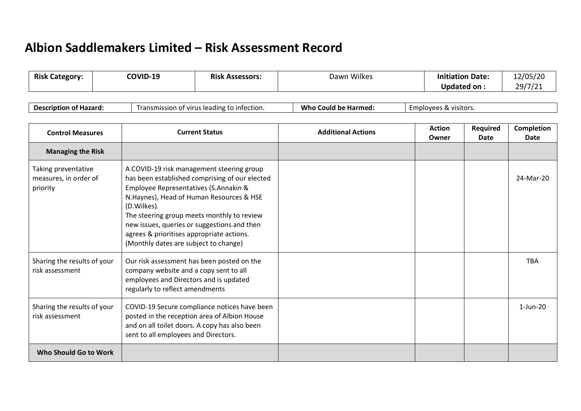## **Albion Saddlemakers Limited – Risk Assessment Record**

|    | <b>Risk</b><br>category: | COVID-19 | <b>Risk</b><br>Assessors: | Dawn Wilkes | Date:<br>uatior | 12/05/20               |
|----|--------------------------|----------|---------------------------|-------------|-----------------|------------------------|
| __ |                          |          |                           |             | . חס י<br>Jnd   | $\mathbf{a}$<br>$\sim$ |

| Description of I<br>of Hazard: | n of virus leading to infection.<br>ismission<br>ית<br>ı al | Who.<br>l be Harmed:<br>Could | <i>c</i> mplovees<br>ees & visitors. |
|--------------------------------|-------------------------------------------------------------|-------------------------------|--------------------------------------|
|--------------------------------|-------------------------------------------------------------|-------------------------------|--------------------------------------|

| <b>Control Measures</b>                                  | <b>Current Status</b>                                                                                                                                                                                                                                                                                                                                                              | <b>Additional Actions</b> | <b>Action</b><br>Owner | Required<br>Date | Completion<br>Date |
|----------------------------------------------------------|------------------------------------------------------------------------------------------------------------------------------------------------------------------------------------------------------------------------------------------------------------------------------------------------------------------------------------------------------------------------------------|---------------------------|------------------------|------------------|--------------------|
| <b>Managing the Risk</b>                                 |                                                                                                                                                                                                                                                                                                                                                                                    |                           |                        |                  |                    |
| Taking preventative<br>measures, in order of<br>priority | A COVID-19 risk management steering group<br>has been established comprising of our elected<br>Employee Representatives (S.Annakin &<br>N.Haynes), Head of Human Resources & HSE<br>(D.Wilkes).<br>The steering group meets monthly to review<br>new issues, queries or suggestions and then<br>agrees & prioritises appropriate actions.<br>(Monthly dates are subject to change) |                           |                        |                  | 24-Mar-20          |
| Sharing the results of your<br>risk assessment           | Our risk assessment has been posted on the<br>company website and a copy sent to all<br>employees and Directors and is updated<br>regularly to reflect amendments                                                                                                                                                                                                                  |                           |                        |                  | <b>TBA</b>         |
| Sharing the results of your<br>risk assessment           | COVID-19 Secure compliance notices have been<br>posted in the reception area of Albion House<br>and on all toilet doors. A copy has also been<br>sent to all employees and Directors.                                                                                                                                                                                              |                           |                        |                  | $1$ -Jun-20        |
| Who Should Go to Work                                    |                                                                                                                                                                                                                                                                                                                                                                                    |                           |                        |                  |                    |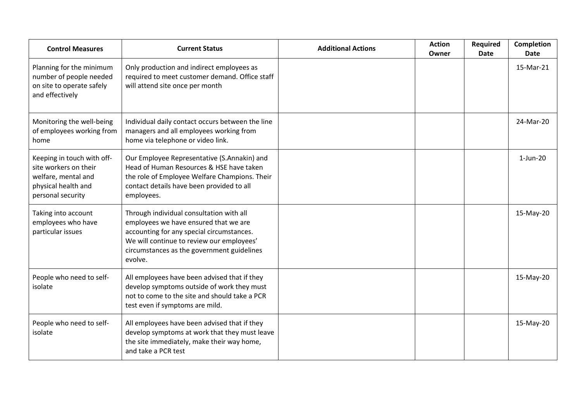| <b>Control Measures</b>                                                                                                | <b>Current Status</b>                                                                                                                                                                                                                | <b>Additional Actions</b> | <b>Action</b><br>Owner | <b>Required</b><br><b>Date</b> | <b>Completion</b><br><b>Date</b> |
|------------------------------------------------------------------------------------------------------------------------|--------------------------------------------------------------------------------------------------------------------------------------------------------------------------------------------------------------------------------------|---------------------------|------------------------|--------------------------------|----------------------------------|
| Planning for the minimum<br>number of people needed<br>on site to operate safely<br>and effectively                    | Only production and indirect employees as<br>required to meet customer demand. Office staff<br>will attend site once per month                                                                                                       |                           |                        |                                | 15-Mar-21                        |
| Monitoring the well-being<br>of employees working from<br>home                                                         | Individual daily contact occurs between the line<br>managers and all employees working from<br>home via telephone or video link.                                                                                                     |                           |                        |                                | 24-Mar-20                        |
| Keeping in touch with off-<br>site workers on their<br>welfare, mental and<br>physical health and<br>personal security | Our Employee Representative (S.Annakin) and<br>Head of Human Resources & HSE have taken<br>the role of Employee Welfare Champions. Their<br>contact details have been provided to all<br>employees.                                  |                           |                        |                                | $1$ -Jun-20                      |
| Taking into account<br>employees who have<br>particular issues                                                         | Through individual consultation with all<br>employees we have ensured that we are<br>accounting for any special circumstances.<br>We will continue to review our employees'<br>circumstances as the government guidelines<br>evolve. |                           |                        |                                | 15-May-20                        |
| People who need to self-<br>isolate                                                                                    | All employees have been advised that if they<br>develop symptoms outside of work they must<br>not to come to the site and should take a PCR<br>test even if symptoms are mild.                                                       |                           |                        |                                | 15-May-20                        |
| People who need to self-<br>isolate                                                                                    | All employees have been advised that if they<br>develop symptoms at work that they must leave<br>the site immediately, make their way home,<br>and take a PCR test                                                                   |                           |                        |                                | 15-May-20                        |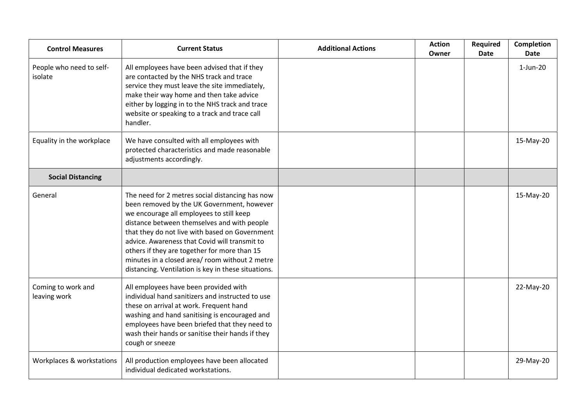| <b>Control Measures</b>             | <b>Current Status</b>                                                                                                                                                                                                                                                                                                                                                                                                                                | <b>Additional Actions</b> | <b>Action</b><br>Owner | <b>Required</b><br><b>Date</b> | <b>Completion</b><br><b>Date</b> |
|-------------------------------------|------------------------------------------------------------------------------------------------------------------------------------------------------------------------------------------------------------------------------------------------------------------------------------------------------------------------------------------------------------------------------------------------------------------------------------------------------|---------------------------|------------------------|--------------------------------|----------------------------------|
| People who need to self-<br>isolate | All employees have been advised that if they<br>are contacted by the NHS track and trace<br>service they must leave the site immediately,<br>make their way home and then take advice<br>either by logging in to the NHS track and trace<br>website or speaking to a track and trace call<br>handler.                                                                                                                                                |                           |                        |                                | $1$ -Jun-20                      |
| Equality in the workplace           | We have consulted with all employees with<br>protected characteristics and made reasonable<br>adjustments accordingly.                                                                                                                                                                                                                                                                                                                               |                           |                        |                                | 15-May-20                        |
| <b>Social Distancing</b>            |                                                                                                                                                                                                                                                                                                                                                                                                                                                      |                           |                        |                                |                                  |
| General                             | The need for 2 metres social distancing has now<br>been removed by the UK Government, however<br>we encourage all employees to still keep<br>distance between themselves and with people<br>that they do not live with based on Government<br>advice. Awareness that Covid will transmit to<br>others if they are together for more than 15<br>minutes in a closed area/ room without 2 metre<br>distancing. Ventilation is key in these situations. |                           |                        |                                | 15-May-20                        |
| Coming to work and<br>leaving work  | All employees have been provided with<br>individual hand sanitizers and instructed to use<br>these on arrival at work. Frequent hand<br>washing and hand sanitising is encouraged and<br>employees have been briefed that they need to<br>wash their hands or sanitise their hands if they<br>cough or sneeze                                                                                                                                        |                           |                        |                                | 22-May-20                        |
| Workplaces & workstations           | All production employees have been allocated<br>individual dedicated workstations.                                                                                                                                                                                                                                                                                                                                                                   |                           |                        |                                | 29-May-20                        |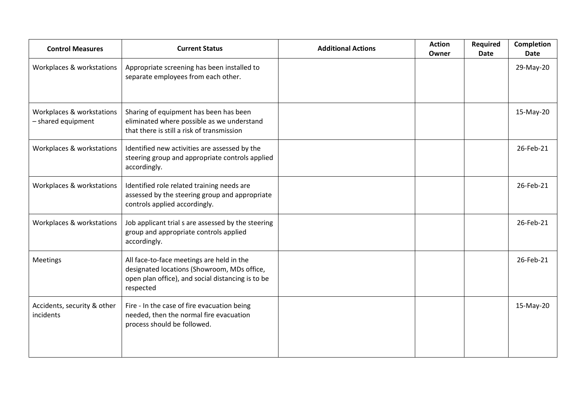| <b>Control Measures</b>                         | <b>Current Status</b>                                                                                                                                      | <b>Additional Actions</b> | <b>Action</b><br>Owner | <b>Required</b><br>Date | <b>Completion</b><br><b>Date</b> |
|-------------------------------------------------|------------------------------------------------------------------------------------------------------------------------------------------------------------|---------------------------|------------------------|-------------------------|----------------------------------|
| Workplaces & workstations                       | Appropriate screening has been installed to<br>separate employees from each other.                                                                         |                           |                        |                         | 29-May-20                        |
| Workplaces & workstations<br>- shared equipment | Sharing of equipment has been has been<br>eliminated where possible as we understand<br>that there is still a risk of transmission                         |                           |                        |                         | 15-May-20                        |
| Workplaces & workstations                       | Identified new activities are assessed by the<br>steering group and appropriate controls applied<br>accordingly.                                           |                           |                        |                         | 26-Feb-21                        |
| Workplaces & workstations                       | Identified role related training needs are<br>assessed by the steering group and appropriate<br>controls applied accordingly.                              |                           |                        |                         | 26-Feb-21                        |
| Workplaces & workstations                       | Job applicant trial s are assessed by the steering<br>group and appropriate controls applied<br>accordingly.                                               |                           |                        |                         | 26-Feb-21                        |
| <b>Meetings</b>                                 | All face-to-face meetings are held in the<br>designated locations (Showroom, MDs office,<br>open plan office), and social distancing is to be<br>respected |                           |                        |                         | 26-Feb-21                        |
| Accidents, security & other<br>incidents        | Fire - In the case of fire evacuation being<br>needed, then the normal fire evacuation<br>process should be followed.                                      |                           |                        |                         | 15-May-20                        |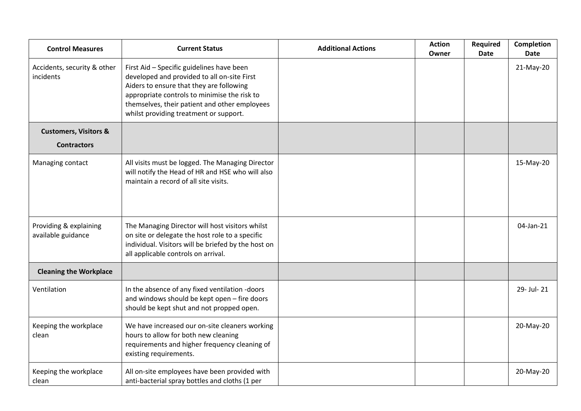| <b>Control Measures</b>                      | <b>Current Status</b>                                                                                                                                                                                                                                                           | <b>Additional Actions</b> | <b>Action</b><br>Owner | Required<br><b>Date</b> | <b>Completion</b><br><b>Date</b> |
|----------------------------------------------|---------------------------------------------------------------------------------------------------------------------------------------------------------------------------------------------------------------------------------------------------------------------------------|---------------------------|------------------------|-------------------------|----------------------------------|
| Accidents, security & other<br>incidents     | First Aid - Specific guidelines have been<br>developed and provided to all on-site First<br>Aiders to ensure that they are following<br>appropriate controls to minimise the risk to<br>themselves, their patient and other employees<br>whilst providing treatment or support. |                           |                        |                         | 21-May-20                        |
| <b>Customers, Visitors &amp;</b>             |                                                                                                                                                                                                                                                                                 |                           |                        |                         |                                  |
| <b>Contractors</b>                           |                                                                                                                                                                                                                                                                                 |                           |                        |                         |                                  |
| Managing contact                             | All visits must be logged. The Managing Director<br>will notify the Head of HR and HSE who will also<br>maintain a record of all site visits.                                                                                                                                   |                           |                        |                         | 15-May-20                        |
| Providing & explaining<br>available guidance | The Managing Director will host visitors whilst<br>on site or delegate the host role to a specific<br>individual. Visitors will be briefed by the host on<br>all applicable controls on arrival.                                                                                |                           |                        |                         | 04-Jan-21                        |
| <b>Cleaning the Workplace</b>                |                                                                                                                                                                                                                                                                                 |                           |                        |                         |                                  |
| Ventilation                                  | In the absence of any fixed ventilation -doors<br>and windows should be kept open - fire doors<br>should be kept shut and not propped open.                                                                                                                                     |                           |                        |                         | 29- Jul- 21                      |
| Keeping the workplace<br>clean               | We have increased our on-site cleaners working<br>hours to allow for both new cleaning<br>requirements and higher frequency cleaning of<br>existing requirements.                                                                                                               |                           |                        |                         | 20-May-20                        |
| Keeping the workplace<br>clean               | All on-site employees have been provided with<br>anti-bacterial spray bottles and cloths (1 per                                                                                                                                                                                 |                           |                        |                         | 20-May-20                        |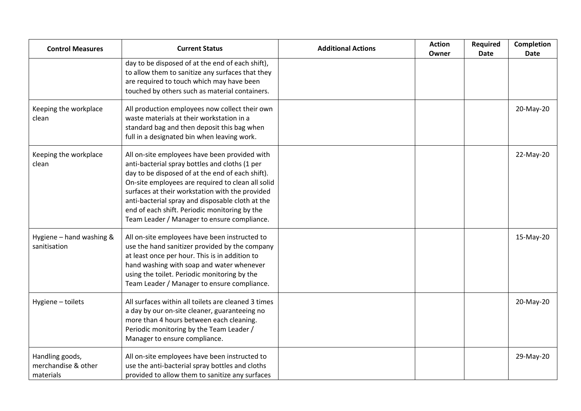| <b>Control Measures</b>                             | <b>Current Status</b>                                                                                                                                                                                                                                                                                                                                                                                           | <b>Additional Actions</b> | <b>Action</b><br>Owner | <b>Required</b><br><b>Date</b> | <b>Completion</b><br><b>Date</b> |
|-----------------------------------------------------|-----------------------------------------------------------------------------------------------------------------------------------------------------------------------------------------------------------------------------------------------------------------------------------------------------------------------------------------------------------------------------------------------------------------|---------------------------|------------------------|--------------------------------|----------------------------------|
|                                                     | day to be disposed of at the end of each shift),<br>to allow them to sanitize any surfaces that they<br>are required to touch which may have been<br>touched by others such as material containers.                                                                                                                                                                                                             |                           |                        |                                |                                  |
| Keeping the workplace<br>clean                      | All production employees now collect their own<br>waste materials at their workstation in a<br>standard bag and then deposit this bag when<br>full in a designated bin when leaving work.                                                                                                                                                                                                                       |                           |                        |                                | 20-May-20                        |
| Keeping the workplace<br>clean                      | All on-site employees have been provided with<br>anti-bacterial spray bottles and cloths (1 per<br>day to be disposed of at the end of each shift).<br>On-site employees are required to clean all solid<br>surfaces at their workstation with the provided<br>anti-bacterial spray and disposable cloth at the<br>end of each shift. Periodic monitoring by the<br>Team Leader / Manager to ensure compliance. |                           |                        |                                | 22-May-20                        |
| Hygiene - hand washing &<br>sanitisation            | All on-site employees have been instructed to<br>use the hand sanitizer provided by the company<br>at least once per hour. This is in addition to<br>hand washing with soap and water whenever<br>using the toilet. Periodic monitoring by the<br>Team Leader / Manager to ensure compliance.                                                                                                                   |                           |                        |                                | 15-May-20                        |
| Hygiene - toilets                                   | All surfaces within all toilets are cleaned 3 times<br>a day by our on-site cleaner, guaranteeing no<br>more than 4 hours between each cleaning.<br>Periodic monitoring by the Team Leader /<br>Manager to ensure compliance.                                                                                                                                                                                   |                           |                        |                                | 20-May-20                        |
| Handling goods,<br>merchandise & other<br>materials | All on-site employees have been instructed to<br>use the anti-bacterial spray bottles and cloths<br>provided to allow them to sanitize any surfaces                                                                                                                                                                                                                                                             |                           |                        |                                | 29-May-20                        |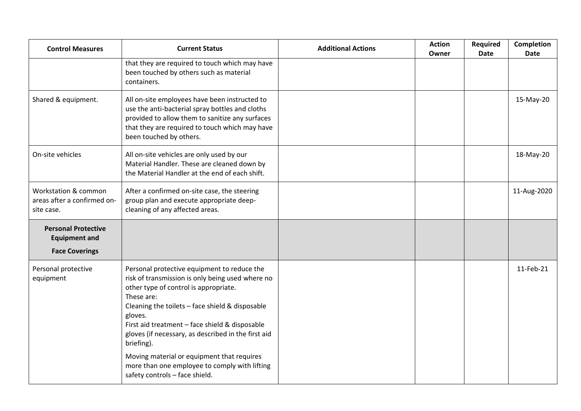| <b>Control Measures</b>                                                     | <b>Current Status</b>                                                                                                                                                                                                                                                                                                                                                                                                                                                        | <b>Additional Actions</b> | <b>Action</b><br>Owner | Required<br><b>Date</b> | Completion<br><b>Date</b> |
|-----------------------------------------------------------------------------|------------------------------------------------------------------------------------------------------------------------------------------------------------------------------------------------------------------------------------------------------------------------------------------------------------------------------------------------------------------------------------------------------------------------------------------------------------------------------|---------------------------|------------------------|-------------------------|---------------------------|
|                                                                             | that they are required to touch which may have<br>been touched by others such as material<br>containers.                                                                                                                                                                                                                                                                                                                                                                     |                           |                        |                         |                           |
| Shared & equipment.                                                         | All on-site employees have been instructed to<br>use the anti-bacterial spray bottles and cloths<br>provided to allow them to sanitize any surfaces<br>that they are required to touch which may have<br>been touched by others.                                                                                                                                                                                                                                             |                           |                        |                         | 15-May-20                 |
| On-site vehicles                                                            | All on-site vehicles are only used by our<br>Material Handler. These are cleaned down by<br>the Material Handler at the end of each shift.                                                                                                                                                                                                                                                                                                                                   |                           |                        |                         | 18-May-20                 |
| Workstation & common<br>areas after a confirmed on-<br>site case.           | After a confirmed on-site case, the steering<br>group plan and execute appropriate deep-<br>cleaning of any affected areas.                                                                                                                                                                                                                                                                                                                                                  |                           |                        |                         | 11-Aug-2020               |
| <b>Personal Protective</b><br><b>Equipment and</b><br><b>Face Coverings</b> |                                                                                                                                                                                                                                                                                                                                                                                                                                                                              |                           |                        |                         |                           |
| Personal protective<br>equipment                                            | Personal protective equipment to reduce the<br>risk of transmission is only being used where no<br>other type of control is appropriate.<br>These are:<br>Cleaning the toilets - face shield & disposable<br>gloves.<br>First aid treatment - face shield & disposable<br>gloves (if necessary, as described in the first aid<br>briefing).<br>Moving material or equipment that requires<br>more than one employee to comply with lifting<br>safety controls - face shield. |                           |                        |                         | 11-Feb-21                 |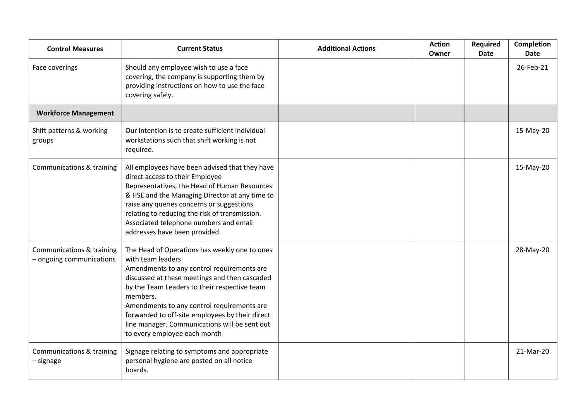| <b>Control Measures</b>                               | <b>Current Status</b>                                                                                                                                                                                                                                                                                                                                                                                           | <b>Additional Actions</b> | <b>Action</b><br>Owner | <b>Required</b><br><b>Date</b> | <b>Completion</b><br><b>Date</b> |
|-------------------------------------------------------|-----------------------------------------------------------------------------------------------------------------------------------------------------------------------------------------------------------------------------------------------------------------------------------------------------------------------------------------------------------------------------------------------------------------|---------------------------|------------------------|--------------------------------|----------------------------------|
| Face coverings                                        | Should any employee wish to use a face<br>covering, the company is supporting them by<br>providing instructions on how to use the face<br>covering safely.                                                                                                                                                                                                                                                      |                           |                        |                                | 26-Feb-21                        |
| <b>Workforce Management</b>                           |                                                                                                                                                                                                                                                                                                                                                                                                                 |                           |                        |                                |                                  |
| Shift patterns & working<br>groups                    | Our intention is to create sufficient individual<br>workstations such that shift working is not<br>required.                                                                                                                                                                                                                                                                                                    |                           |                        |                                | 15-May-20                        |
| Communications & training                             | All employees have been advised that they have<br>direct access to their Employee<br>Representatives, the Head of Human Resources<br>& HSE and the Managing Director at any time to<br>raise any queries concerns or suggestions<br>relating to reducing the risk of transmission.<br>Associated telephone numbers and email<br>addresses have been provided.                                                   |                           |                        |                                | 15-May-20                        |
| Communications & training<br>- ongoing communications | The Head of Operations has weekly one to ones<br>with team leaders<br>Amendments to any control requirements are<br>discussed at these meetings and then cascaded<br>by the Team Leaders to their respective team<br>members.<br>Amendments to any control requirements are<br>forwarded to off-site employees by their direct<br>line manager. Communications will be sent out<br>to every employee each month |                           |                        |                                | 28-May-20                        |
| Communications & training<br>– signage                | Signage relating to symptoms and appropriate<br>personal hygiene are posted on all notice<br>boards.                                                                                                                                                                                                                                                                                                            |                           |                        |                                | 21-Mar-20                        |